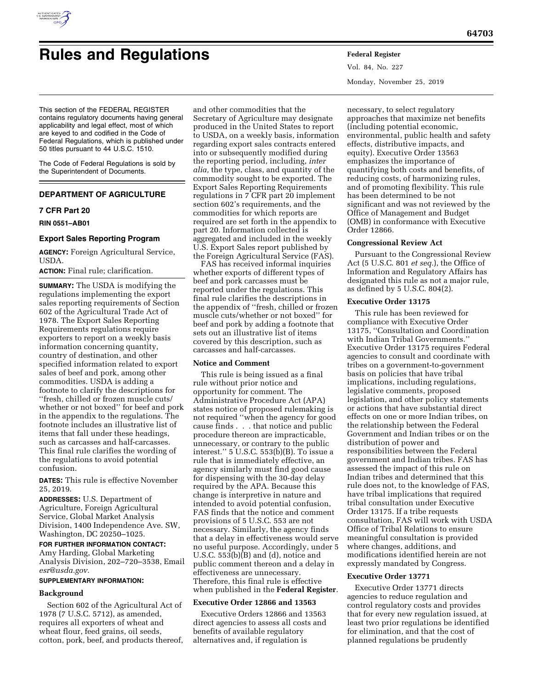

# **Rules and Regulations Federal Register**

This section of the FEDERAL REGISTER contains regulatory documents having general applicability and legal effect, most of which are keyed to and codified in the Code of

50 titles pursuant to 44 U.S.C. 1510. The Code of Federal Regulations is sold by the Superintendent of Documents.

Federal Regulations, which is published under

# **DEPARTMENT OF AGRICULTURE**

## **7 CFR Part 20**

**RIN 0551–AB01** 

#### **Export Sales Reporting Program**

**AGENCY:** Foreign Agricultural Service, USDA.

**ACTION:** Final rule; clarification.

**SUMMARY:** The USDA is modifying the regulations implementing the export sales reporting requirements of Section 602 of the Agricultural Trade Act of 1978. The Export Sales Reporting Requirements regulations require exporters to report on a weekly basis information concerning quantity, country of destination, and other specified information related to export sales of beef and pork, among other commodities. USDA is adding a footnote to clarify the descriptions for ''fresh, chilled or frozen muscle cuts/ whether or not boxed'' for beef and pork in the appendix to the regulations. The footnote includes an illustrative list of items that fall under these headings, such as carcasses and half-carcasses. This final rule clarifies the wording of the regulations to avoid potential confusion.

**DATES:** This rule is effective November 25, 2019.

**ADDRESSES:** U.S. Department of Agriculture, Foreign Agricultural Service, Global Market Analysis Division, 1400 Independence Ave. SW, Washington, DC 20250–1025.

**FOR FURTHER INFORMATION CONTACT:**  Amy Harding, Global Marketing Analysis Division, 202–720–3538, Email *[esr@usda.gov.](mailto:esr@usda.gov)* 

## **SUPPLEMENTARY INFORMATION:**

#### **Background**

Section 602 of the Agricultural Act of 1978 (7 U.S.C. 5712), as amended, requires all exporters of wheat and wheat flour, feed grains, oil seeds, cotton, pork, beef, and products thereof,

and other commodities that the Secretary of Agriculture may designate produced in the United States to report to USDA, on a weekly basis, information regarding export sales contracts entered into or subsequently modified during the reporting period, including, *inter alia,* the type, class, and quantity of the commodity sought to be exported. The Export Sales Reporting Requirements regulations in 7 CFR part 20 implement section 602's requirements, and the commodities for which reports are required are set forth in the appendix to part 20. Information collected is aggregated and included in the weekly U.S. Export Sales report published by the Foreign Agricultural Service (FAS).

FAS has received informal inquiries whether exports of different types of beef and pork carcasses must be reported under the regulations. This final rule clarifies the descriptions in the appendix of ''fresh, chilled or frozen muscle cuts/whether or not boxed'' for beef and pork by adding a footnote that sets out an illustrative list of items covered by this description, such as carcasses and half-carcasses.

#### **Notice and Comment**

This rule is being issued as a final rule without prior notice and opportunity for comment. The Administrative Procedure Act (APA) states notice of proposed rulemaking is not required ''when the agency for good cause finds . . . that notice and public procedure thereon are impracticable, unnecessary, or contrary to the public interest.'' 5 U.S.C. 553(b)(B). To issue a rule that is immediately effective, an agency similarly must find good cause for dispensing with the 30-day delay required by the APA. Because this change is interpretive in nature and intended to avoid potential confusion, FAS finds that the notice and comment provisions of 5 U.S.C. 553 are not necessary. Similarly, the agency finds that a delay in effectiveness would serve no useful purpose. Accordingly, under 5 U.S.C. 553(b)(B) and (d), notice and public comment thereon and a delay in effectiveness are unnecessary. Therefore, this final rule is effective when published in the **Federal Register**.

#### **Executive Order 12866 and 13563**

Executive Orders 12866 and 13563 direct agencies to assess all costs and benefits of available regulatory alternatives and, if regulation is

Vol. 84, No. 227 Monday, November 25, 2019

necessary, to select regulatory approaches that maximize net benefits (including potential economic, environmental, public health and safety effects, distributive impacts, and equity). Executive Order 13563 emphasizes the importance of quantifying both costs and benefits, of reducing costs, of harmonizing rules, and of promoting flexibility. This rule has been determined to be not significant and was not reviewed by the Office of Management and Budget (OMB) in conformance with Executive Order 12866.

#### **Congressional Review Act**

Pursuant to the Congressional Review Act (5 U.S.C. 801 *et seq.*), the Office of Information and Regulatory Affairs has designated this rule as not a major rule, as defined by 5 U.S.C. 804(2).

#### **Executive Order 13175**

This rule has been reviewed for compliance with Executive Order 13175, ''Consultation and Coordination with Indian Tribal Governments.'' Executive Order 13175 requires Federal agencies to consult and coordinate with tribes on a government-to-government basis on policies that have tribal implications, including regulations, legislative comments, proposed legislation, and other policy statements or actions that have substantial direct effects on one or more Indian tribes, on the relationship between the Federal Government and Indian tribes or on the distribution of power and responsibilities between the Federal government and Indian tribes. FAS has assessed the impact of this rule on Indian tribes and determined that this rule does not, to the knowledge of FAS, have tribal implications that required tribal consultation under Executive Order 13175. If a tribe requests consultation, FAS will work with USDA Office of Tribal Relations to ensure meaningful consultation is provided where changes, additions, and modifications identified herein are not expressly mandated by Congress.

## **Executive Order 13771**

Executive Order 13771 directs agencies to reduce regulation and control regulatory costs and provides that for every new regulation issued, at least two prior regulations be identified for elimination, and that the cost of planned regulations be prudently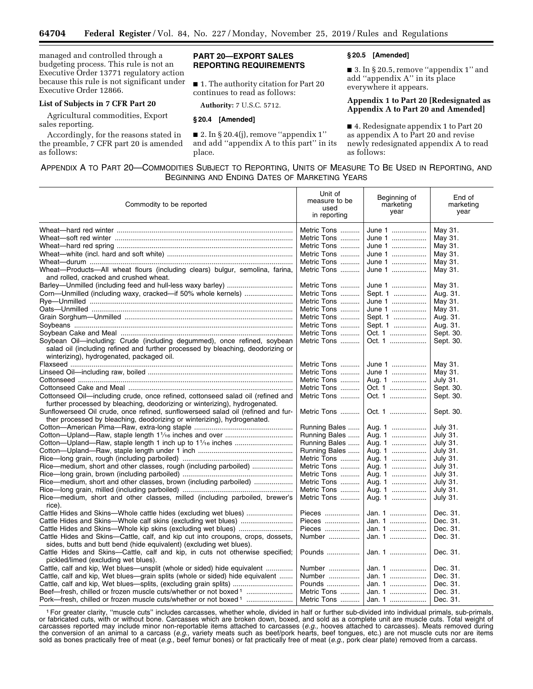managed and controlled through a budgeting process. This rule is not an Executive Order 13771 regulatory action because this rule is not significant under Executive Order 12866.

## **List of Subjects in 7 CFR Part 20**

Agricultural commodities, Export sales reporting.

Accordingly, for the reasons stated in the preamble, 7 CFR part 20 is amended as follows:

## **PART 20—EXPORT SALES REPORTING REQUIREMENTS**

■ 1. The authority citation for Part 20 continues to read as follows:

**Authority:** 7 U.S.C. 5712.

## **§ 20.4 [Amended]**

 $\blacksquare$  2. In § 20.4(j), remove "appendix 1" and add ''appendix A to this part'' in its place.

## **§ 20.5 [Amended]**

■ 3. In § 20.5, remove "appendix 1" and add ''appendix A'' in its place everywhere it appears.

## **Appendix 1 to Part 20 [Redesignated as Appendix A to Part 20 and Amended]**

■ 4. Redesignate appendix 1 to Part 20 as appendix A to Part 20 and revise newly redesignated appendix A to read as follows:

# APPENDIX A TO PART 20—COMMODITIES SUBJECT TO REPORTING, UNITS OF MEASURE TO BE USED IN REPORTING, AND BEGINNING AND ENDING DATES OF MARKETING YEARS

| Commodity to be reported                                                                                                                                                                                 | Unit of<br>measure to be<br>used<br>in reporting | Beginning of<br>marketing<br>year | End of<br>marketing<br>year |
|----------------------------------------------------------------------------------------------------------------------------------------------------------------------------------------------------------|--------------------------------------------------|-----------------------------------|-----------------------------|
|                                                                                                                                                                                                          | Metric Tons                                      | June 1                            | May 31.                     |
|                                                                                                                                                                                                          | Metric Tons                                      | June 1                            | May 31.                     |
|                                                                                                                                                                                                          | Metric Tons                                      | June 1                            | May 31.                     |
|                                                                                                                                                                                                          | Metric Tons                                      | June 1                            | May 31.                     |
|                                                                                                                                                                                                          | Metric Tons                                      | June 1                            | May 31.                     |
| Wheat-Products-All wheat flours (including clears) bulgur, semolina, farina,<br>and rolled, cracked and crushed wheat.                                                                                   | Metric Tons                                      | June 1                            | May 31.                     |
|                                                                                                                                                                                                          | Metric Tons                                      | June 1                            | May 31.                     |
|                                                                                                                                                                                                          | Metric Tons                                      | Sept. 1                           | Aug. 31.                    |
|                                                                                                                                                                                                          | Metric Tons                                      | June 1                            | May 31.                     |
|                                                                                                                                                                                                          | Metric Tons                                      | June 1                            | May 31.                     |
|                                                                                                                                                                                                          | Metric Tons                                      | Sept. 1                           | Aug. 31.                    |
|                                                                                                                                                                                                          | Metric Tons                                      | Sept. 1                           | Aug. 31.                    |
|                                                                                                                                                                                                          | Metric Tons                                      | Oct. 1                            | Sept. 30.                   |
| Soybean Oil-including: Crude (including degummed), once refined, soybean<br>salad oil (including refined and further processed by bleaching, deodorizing or<br>winterizing), hydrogenated, packaged oil. | Metric Tons                                      | Oct. 1                            | Sept. 30.                   |
|                                                                                                                                                                                                          | Metric Tons                                      | June 1                            | May 31.                     |
|                                                                                                                                                                                                          | Metric Tons                                      | June 1                            | May 31.                     |
|                                                                                                                                                                                                          | Metric Tons                                      | Aug. 1                            | July 31.                    |
|                                                                                                                                                                                                          | Metric Tons                                      | Oct. 1                            | Sept. 30.                   |
| Cottonseed Oil-including crude, once refined, cottonseed salad oil (refined and<br>further processed by bleaching, deodorizing or winterizing), hydrogenated.                                            | Metric Tons                                      | Oct. 1                            | Sept. 30.                   |
| Sunflowerseed Oil crude, once refined, sunflowerseed salad oil (refined and fur-<br>ther processed by bleaching, deodorizing or winterizing), hydrogenated.                                              | Metric Tons                                      | Oct. 1                            | Sept. 30.                   |
|                                                                                                                                                                                                          | Running Bales                                    | Aug. 1                            | July 31.                    |
|                                                                                                                                                                                                          | Running Bales                                    | Aug. 1                            | <b>July 31.</b>             |
|                                                                                                                                                                                                          | Running Bales                                    | Aug. 1                            | July 31.                    |
|                                                                                                                                                                                                          | Running Bales                                    | Aug. 1                            | <b>July 31.</b>             |
|                                                                                                                                                                                                          | Metric Tons                                      | Aug. 1                            | July 31.                    |
| Rice—medium, short and other classes, rough (including parboiled)                                                                                                                                        | Metric Tons                                      | Aug. 1                            | July 31.                    |
|                                                                                                                                                                                                          | Metric Tons                                      | Aug. 1                            | <b>July 31.</b>             |
| Rice-medium, short and other classes, brown (including parboiled)                                                                                                                                        | Metric Tons                                      | Aug. 1                            | July 31.                    |
|                                                                                                                                                                                                          | Metric Tons                                      | Aug. 1                            | July 31.                    |
| Rice—medium, short and other classes, milled (including parboiled, brewer's<br>rice).                                                                                                                    | Metric Tons                                      | Aug. 1                            | <b>July 31.</b>             |
| Cattle Hides and Skins—Whole cattle hides (excluding wet blues)                                                                                                                                          | Pieces                                           | Jan. 1                            | Dec. 31.                    |
| Cattle Hides and Skins—Whole calf skins (excluding wet blues)                                                                                                                                            | Pieces                                           | Jan. 1                            | Dec. 31.                    |
| Cattle Hides and Skins—Whole kip skins (excluding wet blues)                                                                                                                                             | Pieces                                           | Jan. 1                            | Dec. 31.                    |
| Cattle Hides and Skins-Cattle, calf, and kip cut into croupons, crops, dossets,                                                                                                                          | Number                                           | Jan. 1                            | Dec. 31.                    |
| sides, butts and butt bend (hide equivalent) (excluding wet blues).                                                                                                                                      |                                                  |                                   |                             |
| Cattle Hides and Skins—Cattle, calf and kip, in cuts not otherwise specified;                                                                                                                            | Pounds                                           | Jan. 1                            | Dec. 31.                    |
| pickled/limed (excluding wet blues).                                                                                                                                                                     |                                                  |                                   |                             |
| Cattle, calf and kip, Wet blues—unsplit (whole or sided) hide equivalent                                                                                                                                 | Number                                           | Jan. 1                            | Dec. 31.                    |
| Cattle, calf and kip, Wet blues-grain splits (whole or sided) hide equivalent                                                                                                                            | Number                                           | Jan. 1                            | Dec. 31.                    |
| Cattle, calf and kip, Wet blues-splits, (excluding grain splits)                                                                                                                                         | Pounds                                           | Jan. 1                            | Dec. 31.                    |
| Beef-fresh, chilled or frozen muscle cuts/whether or not boxed <sup>1</sup>                                                                                                                              | Metric Tons                                      | Jan. 1                            | Dec. 31.                    |
| Pork—fresh, chilled or frozen muscle cuts/whether or not boxed <sup>1</sup>                                                                                                                              | Metric Tons                                      | Jan. 1                            | Dec. 31.                    |

<sup>1</sup> For greater clarity, "muscle cuts" includes carcasses, whether whole, divided in half or further sub-divided into individual primals, sub-primals, or fabricated cuts, with or without bone. Carcasses which are broken down, boxed, and sold as a complete unit are muscle cuts. Total weight of carcasses reported may include minor non-reportable items attached to carcasses (*e.g.,* hooves attached to carcasses). Meats removed during the conversion of an animal to a carcass (*e.g.,* variety meats such as beef/pork hearts, beef tongues, etc.) are not muscle cuts nor are items sold as bones practically free of meat (*e.g.,* beef femur bones) or fat practically free of meat (*e.g.,* pork clear plate) removed from a carcass.